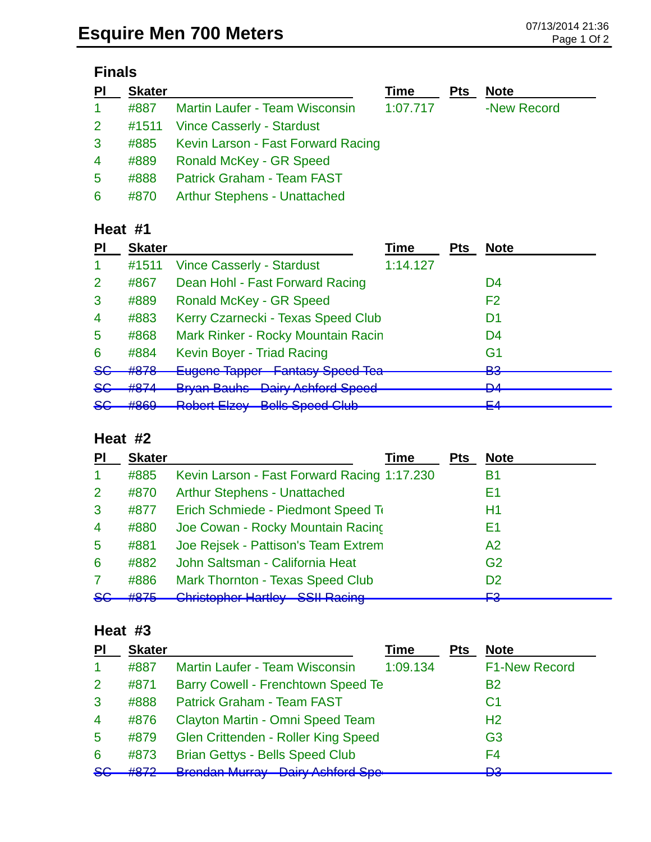# **Finals**

| P <sub>1</sub> | <b>Skater</b> |                                         | Time     | <b>Pts</b> | <b>Note</b> |
|----------------|---------------|-----------------------------------------|----------|------------|-------------|
| $\mathbf{1}$   | #887          | <b>Martin Laufer - Team Wisconsin</b>   | 1:07.717 |            | -New Record |
| $2^{\circ}$    |               | #1511 Vince Casserly - Stardust         |          |            |             |
| $\mathbf{3}$   |               | #885 Kevin Larson - Fast Forward Racing |          |            |             |
| $\overline{4}$ | #889          | <b>Ronald McKey - GR Speed</b>          |          |            |             |
| 5              | #888          | <b>Patrick Graham - Team FAST</b>       |          |            |             |
| 6              | #870          | <b>Arthur Stephens - Unattached</b>     |          |            |             |

### **Heat #1**

| <b>Skater</b>           |                                                                                         | Time                                   | <b>Pts</b>                                                                                                  | <b>Note</b>    |
|-------------------------|-----------------------------------------------------------------------------------------|----------------------------------------|-------------------------------------------------------------------------------------------------------------|----------------|
| #1511                   | <b>Vince Casserly - Stardust</b>                                                        | 1:14.127                               |                                                                                                             |                |
| #867                    | Dean Hohl - Fast Forward Racing                                                         |                                        |                                                                                                             | D4             |
| #889                    | <b>Ronald McKey - GR Speed</b>                                                          |                                        |                                                                                                             | F <sub>2</sub> |
| #883                    |                                                                                         |                                        |                                                                                                             | D1             |
| #868                    |                                                                                         |                                        |                                                                                                             | D4             |
| #884                    | Kevin Boyer - Triad Racing                                                              |                                        |                                                                                                             | G <sub>1</sub> |
| #878                    |                                                                                         |                                        |                                                                                                             | פם<br>◛        |
| HQZA<br>$\pi\sigma\tau$ |                                                                                         |                                        |                                                                                                             | <b>DA</b><br>▱ |
| HQCO<br>$\pi$ ooo       | <b>Dobort Elzoy Rolle Coood Club</b><br><b>INVIDUTE LIZUY</b><br><u>adio abooq olab</u> |                                        |                                                                                                             | EЛ<br>ĒT       |
|                         |                                                                                         | <b>Bryan Bauhs</b> Dairy Ashford Speed | Kerry Czarnecki - Texas Speed Club<br>Mark Rinker - Rocky Mountain Racin<br>Eugene Tapper Fantasy Speed Tea |                |

#### **Heat #2**

| PI             | <b>Skater</b>     | Time                                                                                 | <b>Pts</b> | <b>Note</b>     |
|----------------|-------------------|--------------------------------------------------------------------------------------|------------|-----------------|
| 1              | #885              | Kevin Larson - Fast Forward Racing 1:17.230                                          |            | Β1              |
| $\overline{2}$ | #870              | <b>Arthur Stephens - Unattached</b>                                                  |            | Ε1              |
| 3              | #877              | Erich Schmiede - Piedmont Speed To                                                   |            | Η1              |
| $\overline{4}$ | #880              | Joe Cowan - Rocky Mountain Racing                                                    |            | Ε1              |
| 5              | #881              | Joe Rejsek - Pattison's Team Extrem                                                  |            | A2              |
| 6              | #882              | John Saltsman - California Heat                                                      |            | G <sub>2</sub>  |
|                | #886              | <b>Mark Thornton - Texas Speed Club</b>                                              |            | D <sub>2</sub>  |
| $86$           | HQZE<br>$\pi$ utu | Christophor Hartlay COII Daoing<br><b>UNIORUPHUL LIGHTUV</b><br><del>oon naomg</del> |            | <b>C</b> ء<br>┍ |

### **Heat #3**

| PI             | <b>Skater</b> |                                            | Time     | <b>Pts</b> | <b>Note</b>          |
|----------------|---------------|--------------------------------------------|----------|------------|----------------------|
|                | #887          | Martin Laufer - Team Wisconsin             | 1:09.134 |            | <b>F1-New Record</b> |
| $\overline{2}$ | #871          | Barry Cowell - Frenchtown Speed Te         |          |            | <b>B2</b>            |
| 3              | #888          | <b>Patrick Graham - Team FAST</b>          |          |            | C1                   |
| $\overline{4}$ | #876          | Clayton Martin - Omni Speed Team           |          |            | H <sub>2</sub>       |
| 5              | #879          | Glen Crittenden - Roller King Speed        |          |            | G <sub>3</sub>       |
| 6              | #873          | <b>Brian Gettys - Bells Speed Club</b>     |          |            | F4                   |
| <b>SG</b>      | HQ7Q          |                                            |          |            | מח<br>c              |
|                |               | <b>Brendan Murray - Dairy Ashford Spe-</b> |          |            |                      |